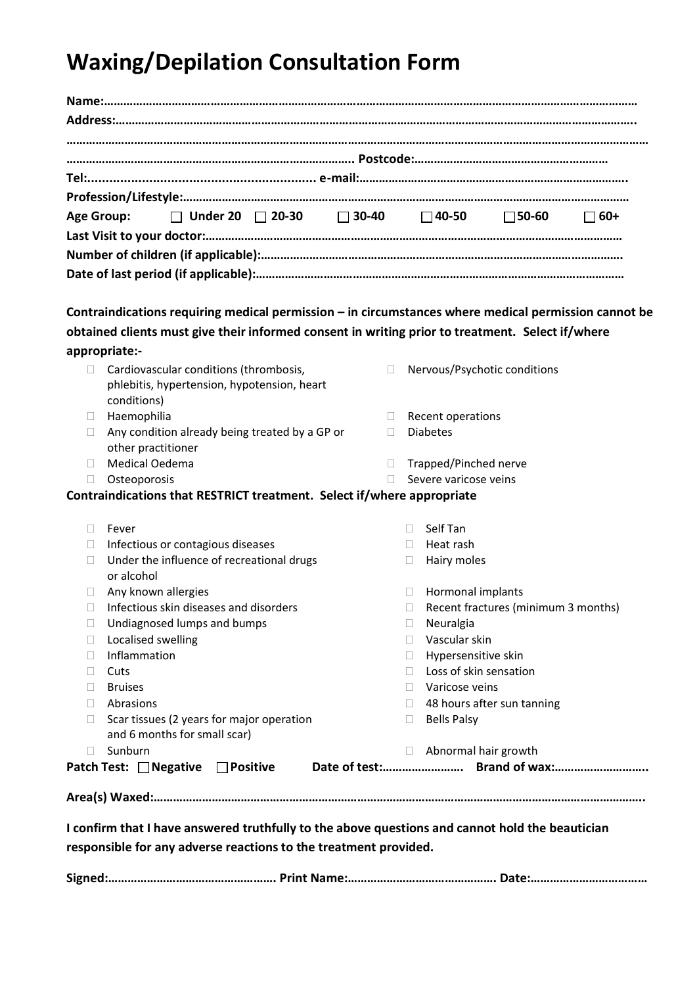## **Waxing/Depilation Consultation Form**

| $\Box$ Under 20 $\Box$ 20-30 $\Box$ 30-40 $\Box$ 40-50 $\Box$ 50-60<br><b>Age Group:</b>             |              |                                |                                     | $\Box$ 60+ |  |
|------------------------------------------------------------------------------------------------------|--------------|--------------------------------|-------------------------------------|------------|--|
|                                                                                                      |              |                                |                                     |            |  |
|                                                                                                      |              |                                |                                     |            |  |
|                                                                                                      |              |                                |                                     |            |  |
| Contraindications requiring medical permission - in circumstances where medical permission cannot be |              |                                |                                     |            |  |
| obtained clients must give their informed consent in writing prior to treatment. Select if/where     |              |                                |                                     |            |  |
| appropriate:-                                                                                        |              |                                |                                     |            |  |
| Cardiovascular conditions (thrombosis,                                                               | П            |                                | Nervous/Psychotic conditions        |            |  |
| phlebitis, hypertension, hypotension, heart<br>conditions)                                           |              |                                |                                     |            |  |
| Haemophilia<br>$\Box$                                                                                | $\Box$       | Recent operations              |                                     |            |  |
| Any condition already being treated by a GP or<br>other practitioner                                 | $\mathbf{L}$ | <b>Diabetes</b>                |                                     |            |  |
| Medical Oedema<br>П                                                                                  | П            | Trapped/Pinched nerve          |                                     |            |  |
| Osteoporosis<br>П.                                                                                   | П            | Severe varicose veins          |                                     |            |  |
| Contraindications that RESTRICT treatment. Select if/where appropriate                               |              |                                |                                     |            |  |
| Fever<br>Ш                                                                                           | П.           | Self Tan                       |                                     |            |  |
| Infectious or contagious diseases<br>Ш                                                               | $\Box$       | Heat rash                      |                                     |            |  |
| Under the influence of recreational drugs<br>□<br>or alcohol                                         | $\Box$       | Hairy moles                    |                                     |            |  |
| Any known allergies<br>$\mathbf{L}$                                                                  | П            | Hormonal implants              |                                     |            |  |
| Infectious skin diseases and disorders                                                               | П            |                                | Recent fractures (minimum 3 months) |            |  |
|                                                                                                      |              | Neuralgia                      |                                     |            |  |
| Undiagnosed lumps and bumps                                                                          |              |                                |                                     |            |  |
| Localised swelling                                                                                   | $\Box$       | Vascular skin                  |                                     |            |  |
| Inflammation<br>$\mathbf{L}$                                                                         |              | Hypersensitive skin<br>П.      |                                     |            |  |
| Cuts<br>$\Box$                                                                                       | $\Box$       | Loss of skin sensation         |                                     |            |  |
| <b>Bruises</b><br>П                                                                                  |              | Varicose veins<br>$\Box$       |                                     |            |  |
| Abrasions<br>$\Box$                                                                                  |              | $\mathbf{H}$                   | 48 hours after sun tanning          |            |  |
| Scar tissues (2 years for major operation<br>Ш<br>and 6 months for small scar)                       | u.           | <b>Bells Palsy</b>             |                                     |            |  |
| Sunburn<br>$\Box$<br>Patch Test: Negative DPositive                                                  |              | Abnormal hair growth<br>$\Box$ |                                     |            |  |

| $\bullet$ |  |  |
|-----------|--|--|
|-----------|--|--|